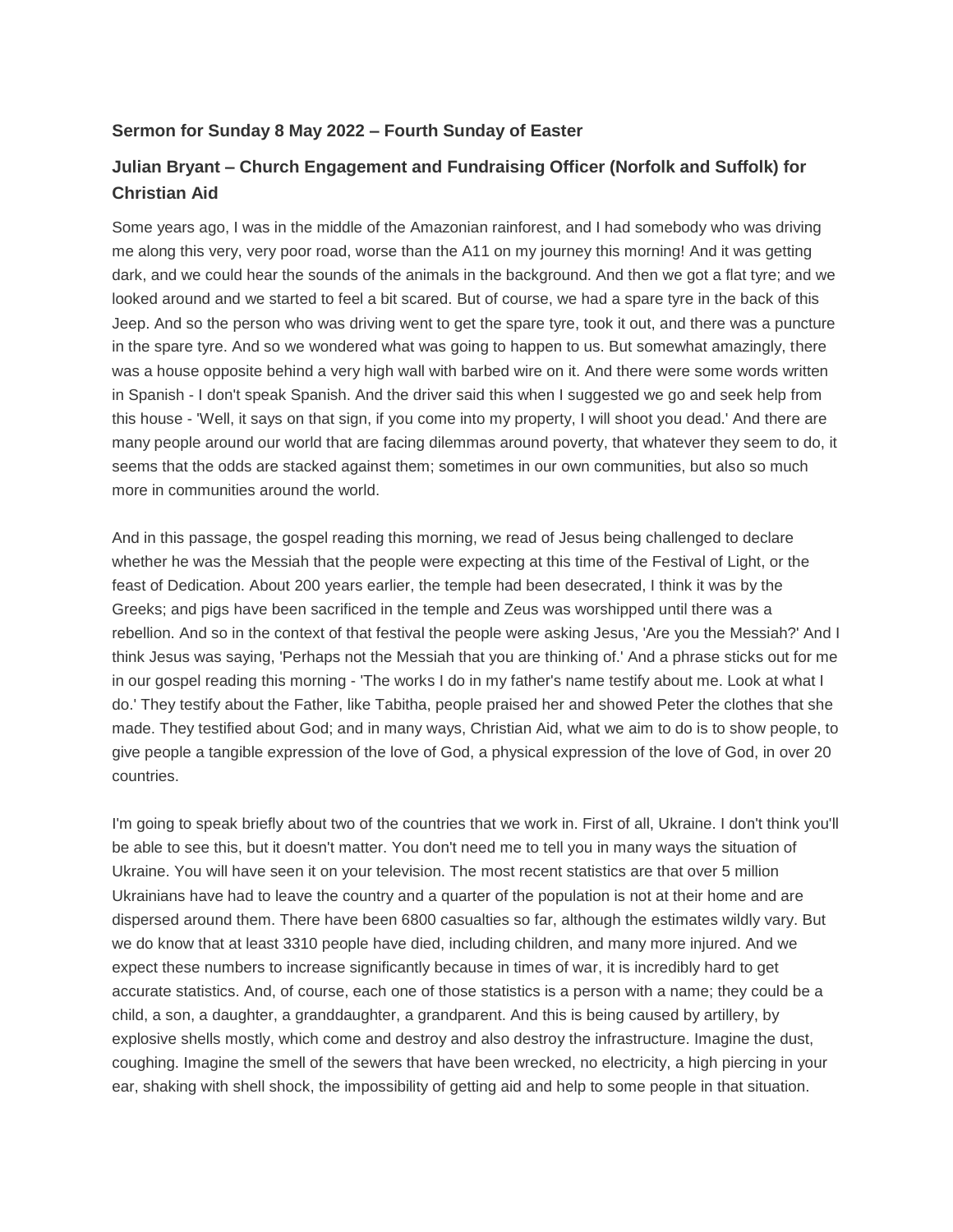#### **Sermon for Sunday 8 May 2022 – Fourth Sunday of Easter**

# **Julian Bryant – Church Engagement and Fundraising Officer (Norfolk and Suffolk) for Christian Aid**

Some years ago, I was in the middle of the Amazonian rainforest, and I had somebody who was driving me along this very, very poor road, worse than the A11 on my journey this morning! And it was getting dark, and we could hear the sounds of the animals in the background. And then we got a flat tyre; and we looked around and we started to feel a bit scared. But of course, we had a spare tyre in the back of this Jeep. And so the person who was driving went to get the spare tyre, took it out, and there was a puncture in the spare tyre. And so we wondered what was going to happen to us. But somewhat amazingly, there was a house opposite behind a very high wall with barbed wire on it. And there were some words written in Spanish - I don't speak Spanish. And the driver said this when I suggested we go and seek help from this house - 'Well, it says on that sign, if you come into my property, I will shoot you dead.' And there are many people around our world that are facing dilemmas around poverty, that whatever they seem to do, it seems that the odds are stacked against them; sometimes in our own communities, but also so much more in communities around the world.

And in this passage, the gospel reading this morning, we read of Jesus being challenged to declare whether he was the Messiah that the people were expecting at this time of the Festival of Light, or the feast of Dedication. About 200 years earlier, the temple had been desecrated, I think it was by the Greeks; and pigs have been sacrificed in the temple and Zeus was worshipped until there was a rebellion. And so in the context of that festival the people were asking Jesus, 'Are you the Messiah?' And I think Jesus was saying, 'Perhaps not the Messiah that you are thinking of.' And a phrase sticks out for me in our gospel reading this morning - 'The works I do in my father's name testify about me. Look at what I do.' They testify about the Father, like Tabitha, people praised her and showed Peter the clothes that she made. They testified about God; and in many ways, Christian Aid, what we aim to do is to show people, to give people a tangible expression of the love of God, a physical expression of the love of God, in over 20 countries.

I'm going to speak briefly about two of the countries that we work in. First of all, Ukraine. I don't think you'll be able to see this, but it doesn't matter. You don't need me to tell you in many ways the situation of Ukraine. You will have seen it on your television. The most recent statistics are that over 5 million Ukrainians have had to leave the country and a quarter of the population is not at their home and are dispersed around them. There have been 6800 casualties so far, although the estimates wildly vary. But we do know that at least 3310 people have died, including children, and many more injured. And we expect these numbers to increase significantly because in times of war, it is incredibly hard to get accurate statistics. And, of course, each one of those statistics is a person with a name; they could be a child, a son, a daughter, a granddaughter, a grandparent. And this is being caused by artillery, by explosive shells mostly, which come and destroy and also destroy the infrastructure. Imagine the dust, coughing. Imagine the smell of the sewers that have been wrecked, no electricity, a high piercing in your ear, shaking with shell shock, the impossibility of getting aid and help to some people in that situation.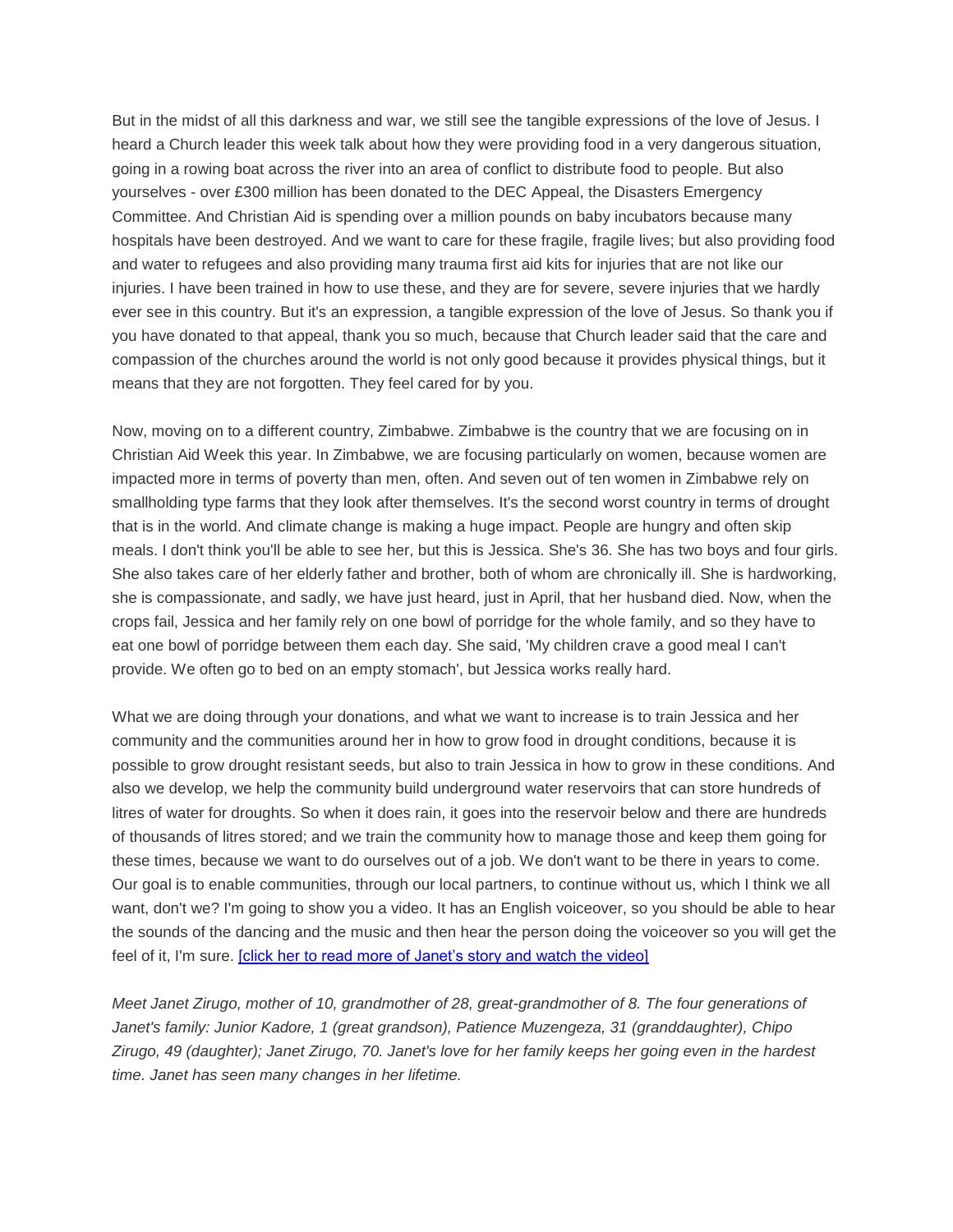But in the midst of all this darkness and war, we still see the tangible expressions of the love of Jesus. I heard a Church leader this week talk about how they were providing food in a very dangerous situation, going in a rowing boat across the river into an area of conflict to distribute food to people. But also yourselves - over £300 million has been donated to the DEC Appeal, the Disasters Emergency Committee. And Christian Aid is spending over a million pounds on baby incubators because many hospitals have been destroyed. And we want to care for these fragile, fragile lives; but also providing food and water to refugees and also providing many trauma first aid kits for injuries that are not like our injuries. I have been trained in how to use these, and they are for severe, severe injuries that we hardly ever see in this country. But it's an expression, a tangible expression of the love of Jesus. So thank you if you have donated to that appeal, thank you so much, because that Church leader said that the care and compassion of the churches around the world is not only good because it provides physical things, but it means that they are not forgotten. They feel cared for by you.

Now, moving on to a different country, Zimbabwe. Zimbabwe is the country that we are focusing on in Christian Aid Week this year. In Zimbabwe, we are focusing particularly on women, because women are impacted more in terms of poverty than men, often. And seven out of ten women in Zimbabwe rely on smallholding type farms that they look after themselves. It's the second worst country in terms of drought that is in the world. And climate change is making a huge impact. People are hungry and often skip meals. I don't think you'll be able to see her, but this is Jessica. She's 36. She has two boys and four girls. She also takes care of her elderly father and brother, both of whom are chronically ill. She is hardworking, she is compassionate, and sadly, we have just heard, just in April, that her husband died. Now, when the crops fail, Jessica and her family rely on one bowl of porridge for the whole family, and so they have to eat one bowl of porridge between them each day. She said, 'My children crave a good meal I can't provide. We often go to bed on an empty stomach', but Jessica works really hard.

What we are doing through your donations, and what we want to increase is to train Jessica and her community and the communities around her in how to grow food in drought conditions, because it is possible to grow drought resistant seeds, but also to train Jessica in how to grow in these conditions. And also we develop, we help the community build underground water reservoirs that can store hundreds of litres of water for droughts. So when it does rain, it goes into the reservoir below and there are hundreds of thousands of litres stored; and we train the community how to manage those and keep them going for these times, because we want to do ourselves out of a job. We don't want to be there in years to come. Our goal is to enable communities, through our local partners, to continue without us, which I think we all want, don't we? I'm going to show you a video. It has an English voiceover, so you should be able to hear the sounds of the dancing and the music and then hear the person doing the voiceover so you will get the feel of it, I'm sure. [\[click her to read more of Janet's story and watch the video\]](https://www.christianaid.org.uk/appeals/key-appeals/christian-aid-week/janets-story)

*Meet Janet Zirugo, mother of 10, grandmother of 28, great-grandmother of 8. The four generations of Janet's family: Junior Kadore, 1 (great grandson), Patience Muzengeza, 31 (granddaughter), Chipo Zirugo, 49 (daughter); Janet Zirugo, 70. Janet's love for her family keeps her going even in the hardest time. Janet has seen many changes in her lifetime.*